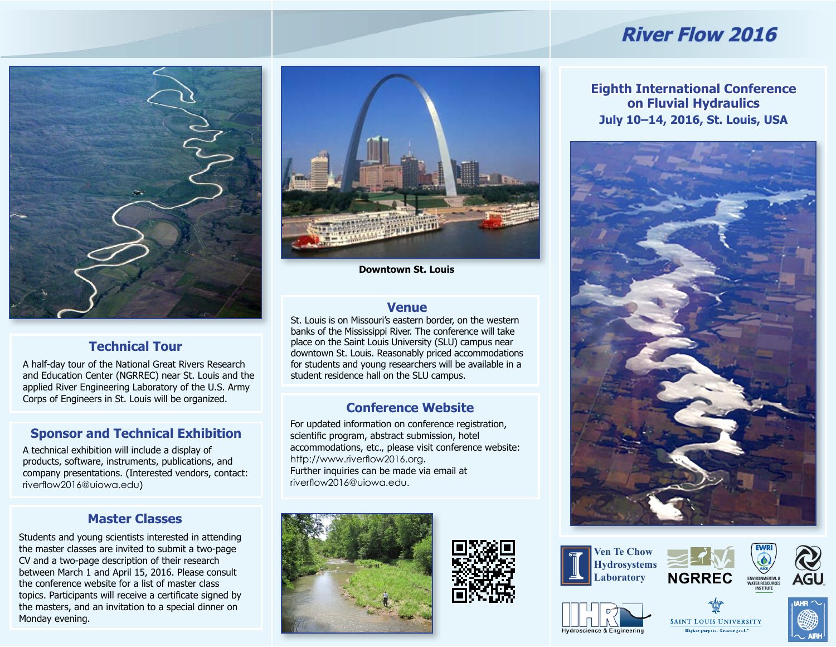# **River Flow 2016**



# **Technical Tour**

A half-day tour of the National Great Rivers Research and Education Center (NGRREC) near St. Louis and the applied River Engineering Laboratory of the U.S. Army Corps of Engineers in St. Louis will be organized.

# **Sponsor and Technical Exhibition**

A technical exhibition will include a display of products, software, instruments, publications, and company presentations. (Interested vendors, contact: riverflow2016@uiowa.edu)

### **Master Classes**

Students and young scientists interested in attending the master classes are invited to submit a two-page CV and a two-page description of their research between March 1 and April 15, 2016. Please consult the conference website for a list of master class topics. Participants will receive a certificate signed by the masters, and an invitation to a special dinner on Monday evening.



**Downtown St. Louis**

### **Venue**

St. Louis is on Missouri's eastern border, on the western banks of the Mississippi River. The conference will take place on the Saint Louis University (SLU) campus near downtown St. Louis. Reasonably priced accommodations for students and young researchers will be available in a student residence hall on the SLU campus.

# **Conference Website**

For updated information on conference registration, scientific program, abstract submission, hotel accommodations, etc., please visit conference website: http://www.riverflow2016.org. Further inquiries can be made via email at riverflow2016@uiowa.edu.





















### **Eighth International Conference on Fluvial Hydraulics July 10–14, 2016, St. Louis, USA**